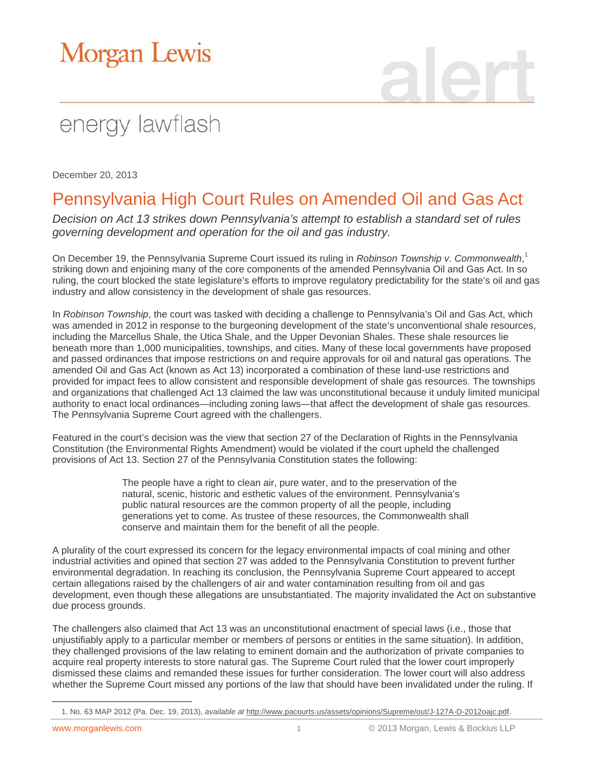## Morgan Lewis

# energy lawflash

December 20, 2013

### Pennsylvania High Court Rules on Amended Oil and Gas Act

*Decision on Act 13 strikes down Pennsylvania's attempt to establish a standard set of rules governing development and operation for the oil and gas industry.* 

On December 19, the Pennsylvania Supreme Court issued its ruling in *Robinson Township v. Commonwealth*, 1 striking down and enjoining many of the core components of the amended Pennsylvania Oil and Gas Act. In so ruling, the court blocked the state legislature's efforts to improve regulatory predictability for the state's oil and gas industry and allow consistency in the development of shale gas resources.

In *Robinson Township*, the court was tasked with deciding a challenge to Pennsylvania's Oil and Gas Act, which was amended in 2012 in response to the burgeoning development of the state's unconventional shale resources, including the Marcellus Shale, the Utica Shale, and the Upper Devonian Shales. These shale resources lie beneath more than 1,000 municipalities, townships, and cities. Many of these local governments have proposed and passed ordinances that impose restrictions on and require approvals for oil and natural gas operations. The amended Oil and Gas Act (known as Act 13) incorporated a combination of these land-use restrictions and provided for impact fees to allow consistent and responsible development of shale gas resources. The townships and organizations that challenged Act 13 claimed the law was unconstitutional because it unduly limited municipal authority to enact local ordinances—including zoning laws—that affect the development of shale gas resources. The Pennsylvania Supreme Court agreed with the challengers.

Featured in the court's decision was the view that section 27 of the Declaration of Rights in the Pennsylvania Constitution (the Environmental Rights Amendment) would be violated if the court upheld the challenged provisions of Act 13. Section 27 of the Pennsylvania Constitution states the following:

> The people have a right to clean air, pure water, and to the preservation of the natural, scenic, historic and esthetic values of the environment. Pennsylvania's public natural resources are the common property of all the people, including generations yet to come. As trustee of these resources, the Commonwealth shall conserve and maintain them for the benefit of all the people.

A plurality of the court expressed its concern for the legacy environmental impacts of coal mining and other industrial activities and opined that section 27 was added to the Pennsylvania Constitution to prevent further environmental degradation. In reaching its conclusion, the Pennsylvania Supreme Court appeared to accept certain allegations raised by the challengers of air and water contamination resulting from oil and gas development, even though these allegations are unsubstantiated. The majority invalidated the Act on substantive due process grounds.

The challengers also claimed that Act 13 was an unconstitutional enactment of special laws (i.e., those that unjustifiably apply to a particular member or members of persons or entities in the same situation). In addition, they challenged provisions of the law relating to eminent domain and the authorization of private companies to acquire real property interests to store natural gas. The Supreme Court ruled that the lower court improperly dismissed these claims and remanded these issues for further consideration. The lower court will also address whether the Supreme Court missed any portions of the law that should have been invalidated under the ruling. If

 $\overline{a}$ 

<sup>1.</sup> No. 63 MAP 2012 (Pa. Dec. 19, 2013), *available at* [http://www.pacourts.us/assets/opinions/Supreme/out/J-127A-D-2012oajc.pdf.](http://www.pacourts.us/assets/opinions/Supreme/out/J-127A-D-2012oajc.pdf)